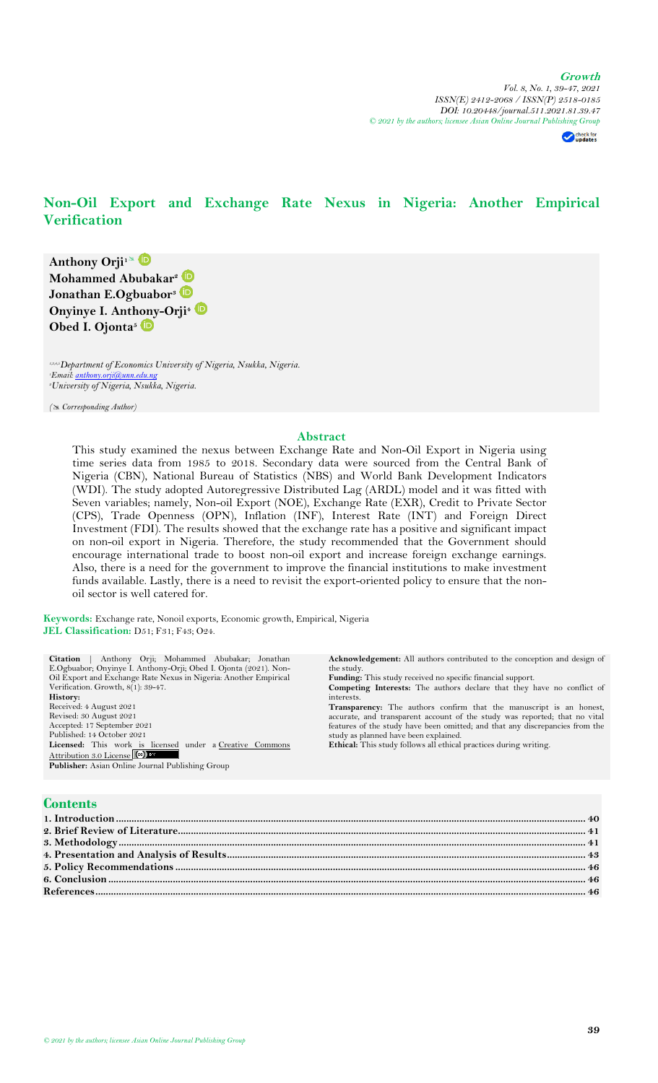check for<br>updates

# **Non-Oil Export and Exchange Rate Nexus in Nigeria: Another Empirical Verification**

**Anthony Orji<sup>1</sup> Mohammed Abubakar<sup>2</sup> Jonathan E.Ogbuabor<sup>3</sup> Onyinye I. Anthony-Orji<sup>4</sup> Obed I. Ojonta<sup>5</sup>**

*1,3,4,5Department of Economics University of Nigeria, Nsukka, Nigeria. <sup>1</sup>Email: [anthony.orji@unn.edu.ng](mailto:anthony.orji@unn.edu.ng) <sup>2</sup>University of Nigeria, Nsukka, Nigeria.*

*( Corresponding Author)*

### **Abstract**

This study examined the nexus between Exchange Rate and Non-Oil Export in Nigeria using time series data from 1985 to 2018. Secondary data were sourced from the Central Bank of Nigeria (CBN), National Bureau of Statistics (NBS) and World Bank Development Indicators (WDI). The study adopted Autoregressive Distributed Lag (ARDL) model and it was fitted with Seven variables; namely, Non-oil Export (NOE), Exchange Rate (EXR), Credit to Private Sector (CPS), Trade Openness (OPN), Inflation (INF), Interest Rate (INT) and Foreign Direct Investment (FDI). The results showed that the exchange rate has a positive and significant impact on non-oil export in Nigeria. Therefore, the study recommended that the Government should encourage international trade to boost non-oil export and increase foreign exchange earnings. Also, there is a need for the government to improve the financial institutions to make investment funds available. Lastly, there is a need to revisit the export-oriented policy to ensure that the nonoil sector is well catered for.

**Keywords:** Exchange rate, Nonoil exports, Economic growth, Empirical, Nigeria **JEL Classification:** D51; F31; F43; O24.

**Citation** | Anthony Orji; Mohammed Abubakar; Jonathan

| Anthony Orji; Mohammed Abubakar; Jonathan<br>Citation            | <b>Acknowledgement:</b> All authors contributed to the conception and design of |
|------------------------------------------------------------------|---------------------------------------------------------------------------------|
| E.Ogbuabor; Onyinye I. Anthony-Orii; Obed I. Ojonta (2021). Non- | the study.                                                                      |
| Oil Export and Exchange Rate Nexus in Nigeria: Another Empirical | <b>Funding:</b> This study received no specific financial support.              |
| Verification. Growth, 8(1): 39-47.                               | <b>Competing Interests:</b> The authors declare that they have no conflict of   |
| History:                                                         | interests.                                                                      |
| Received: 4 August 2021                                          | <b>Transparency:</b> The authors confirm that the manuscript is an honest,      |
| Revised: 30 August 2021                                          | accurate, and transparent account of the study was reported; that no vital      |
| Accepted: 17 September 2021                                      | features of the study have been omitted; and that any discrepancies from the    |
| Published: 14 October 2021                                       | study as planned have been explained.                                           |
| Licensed: This work is licensed under a Creative Commons         | <b>Ethical:</b> This study follows all ethical practices during writing.        |
| Attribution 3.0 License (cc) BY                                  |                                                                                 |
| Publisher: Asian Online Journal Publishing Group                 |                                                                                 |
|                                                                  |                                                                                 |
|                                                                  |                                                                                 |
|                                                                  |                                                                                 |
| <b>Contents</b>                                                  |                                                                                 |
| 1. Introduction                                                  |                                                                                 |
|                                                                  |                                                                                 |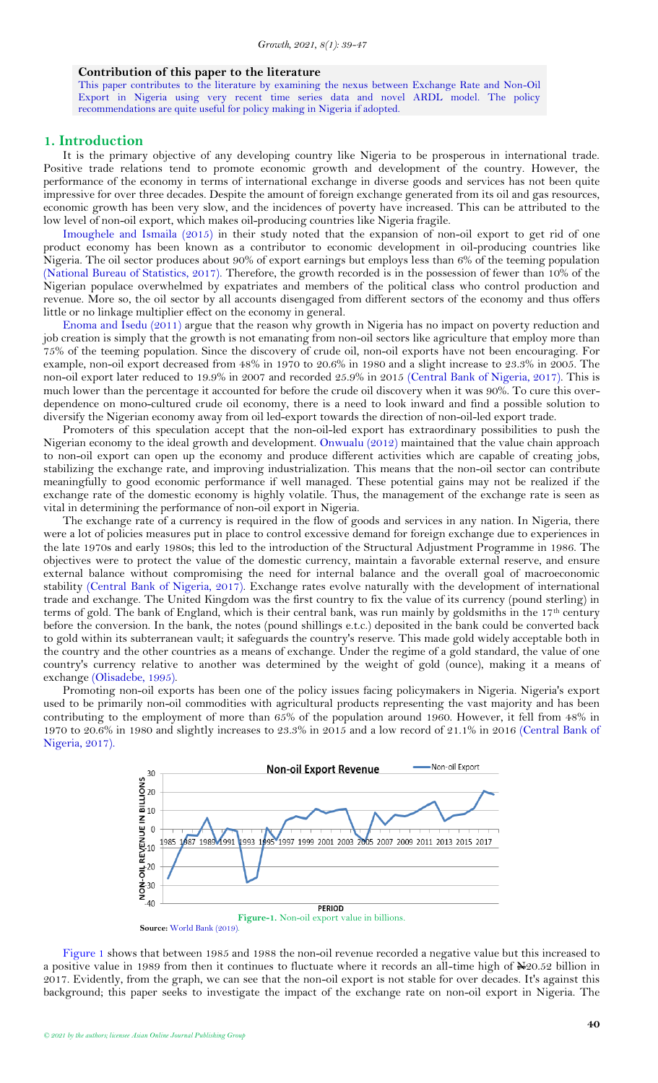#### **Contribution of this paper to the literature**

This paper contributes to the literature by examining the nexus between Exchange Rate and Non-Oil Export in Nigeria using very recent time series data and novel ARDL model. The policy recommendations are quite useful for policy making in Nigeria if adopted.

#### <span id="page-1-0"></span>**1. Introduction**

It is the primary objective of any developing country like Nigeria to be prosperous in international trade. Positive trade relations tend to promote economic growth and development of the country. However, the performance of the economy in terms of international exchange in diverse goods and services has not been quite impressive for over three decades. Despite the amount of foreign exchange generated from its oil and gas resources, economic growth has been very slow, and the incidences of poverty have increased. This can be attributed to the low level of non-oil export, which makes oil-producing countries like Nigeria fragile.

[Imoughele and Ismaila \(2015\)](#page-7-2) in their study noted that the expansion of non-oil export to get rid of one product economy has been known as a contributor to economic development in oil-producing countries like Nigeria. The oil sector produces about 90% of export earnings but employs less than 6% of the teeming population [\(National Bureau of Statistics, 2017\)](#page-7-3). Therefore, the growth recorded is in the possession of fewer than 10% of the Nigerian populace overwhelmed by expatriates and members of the political class who control production and revenue. More so, the oil sector by all accounts disengaged from different sectors of the economy and thus offers little or no linkage multiplier effect on the economy in general.

[Enoma and Isedu \(2011\)](#page-7-4) argue that the reason why growth in Nigeria has no impact on poverty reduction and job creation is simply that the growth is not emanating from non-oil sectors like agriculture that employ more than 75% of the teeming population. Since the discovery of crude oil, non-oil exports have not been encouraging. For example, non-oil export decreased from 48% in 1970 to 20.6% in 1980 and a slight increase to 23.3% in 2005. The non-oil export later reduced to 19.9% in 2007 and recorded 25.9% in 2015 [\(Central Bank of Nigeria, 2017\)](#page-7-5). This is much lower than the percentage it accounted for before the crude oil discovery when it was 90%. To cure this overdependence on mono-cultured crude oil economy, there is a need to look inward and find a possible solution to diversify the Nigerian economy away from oil led-export towards the direction of non-oil-led export trade.

Promoters of this speculation accept that the non-oil-led export has extraordinary possibilities to push the Nigerian economy to the ideal growth and development. [Onwualu \(2012\)](#page-7-6) maintained that the value chain approach to non-oil export can open up the economy and produce different activities which are capable of creating jobs, stabilizing the exchange rate, and improving industrialization. This means that the non-oil sector can contribute meaningfully to good economic performance if well managed. These potential gains may not be realized if the exchange rate of the domestic economy is highly volatile. Thus, the management of the exchange rate is seen as vital in determining the performance of non-oil export in Nigeria.

The exchange rate of a currency is required in the flow of goods and services in any nation. In Nigeria, there were a lot of policies measures put in place to control excessive demand for foreign exchange due to experiences in the late 1970s and early 1980s; this led to the introduction of the Structural Adjustment Programme in 1986. The objectives were to protect the value of the domestic currency, maintain a favorable external reserve, and ensure external balance without compromising the need for internal balance and the overall goal of macroeconomic stability [\(Central Bank of Nigeria, 2017\)](#page-7-5). Exchange rates evolve naturally with the development of international trade and exchange. The United Kingdom was the first country to fix the value of its currency (pound sterling) in terms of gold. The bank of England, which is their central bank, was run mainly by goldsmiths in the 17th century before the conversion. In the bank, the notes (pound shillings e.t.c.) deposited in the bank could be converted back to gold within its subterranean vault; it safeguards the country's reserve. This made gold widely acceptable both in the country and the other countries as a means of exchange. Under the regime of a gold standard, the value of one country's currency relative to another was determined by the weight of gold (ounce), making it a means of exchange [\(Olisadebe, 1995\)](#page-7-7).

Promoting non-oil exports has been one of the policy issues facing policymakers in Nigeria. Nigeria's export used to be primarily non-oil commodities with agricultural products representing the vast majority and has been contributing to the employment of more than 65% of the population around 1960. However, it fell from 48% in 1970 to 20.6% in 1980 and slightly increases to 23.3% in 2015 and a low record of 21.1% in 2016 [\(Central Bank of](#page-7-5)  [Nigeria, 2017\)](#page-7-5).



<span id="page-1-1"></span>[Figure 1](#page-1-1) shows that between 1985 and 1988 the non-oil revenue recorded a negative value but this increased to a positive value in 1989 from then it continues to fluctuate where it records an all-time high of  $\frac{N}{20.52}$  billion in 2017. Evidently, from the graph, we can see that the non-oil export is not stable for over decades. It's against this background; this paper seeks to investigate the impact of the exchange rate on non-oil export in Nigeria. The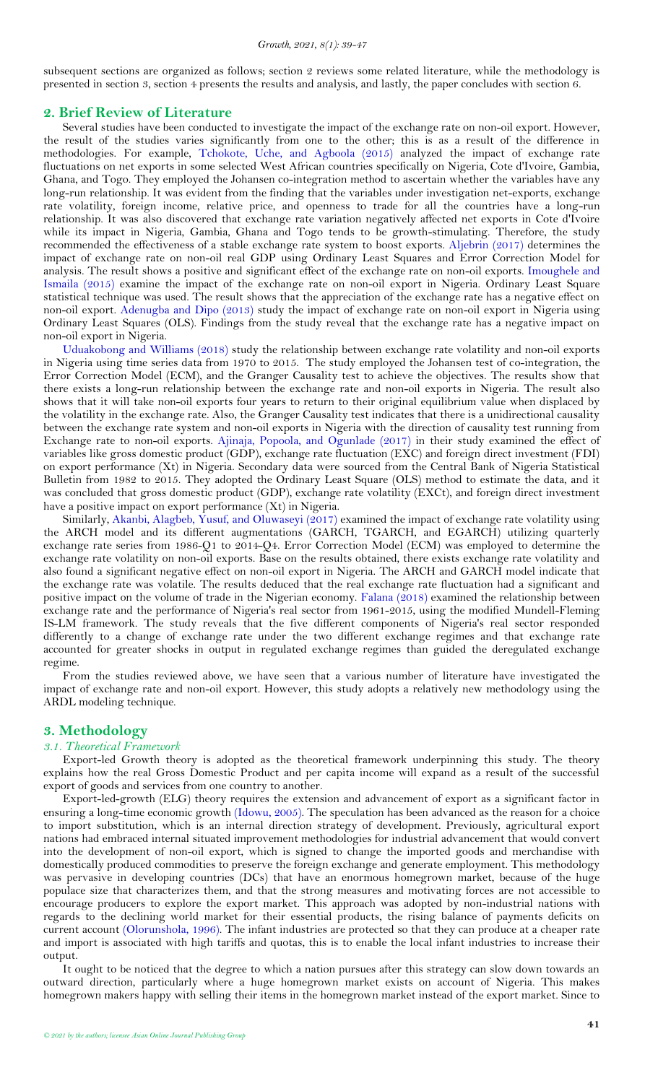subsequent sections are organized as follows; section 2 reviews some related literature, while the methodology is presented in section 3, section 4 presents the results and analysis, and lastly, the paper concludes with section 6.

### <span id="page-2-0"></span>**2. Brief Review of Literature**

Several studies have been conducted to investigate the impact of the exchange rate on non-oil export. However, the result of the studies varies significantly from one to the other; this is as a result of the difference in methodologies. For example, [Tchokote, Uche, and Agboola \(2015\)](#page-8-1) analyzed the impact of exchange rate fluctuations on net exports in some selected West African countries specifically on Nigeria, Cote d'Ivoire, Gambia, Ghana, and Togo. They employed the Johansen co-integration method to ascertain whether the variables have any long-run relationship. It was evident from the finding that the variables under investigation net-exports, exchange rate volatility, foreign income, relative price, and openness to trade for all the countries have a long-run relationship. It was also discovered that exchange rate variation negatively affected net exports in Cote d'Ivoire while its impact in Nigeria, Gambia, Ghana and Togo tends to be growth-stimulating. Therefore, the study recommended the effectiveness of a stable exchange rate system to boost exports. [Aljebrin \(2017\)](#page-7-8) determines the impact of exchange rate on non-oil real GDP using Ordinary Least Squares and Error Correction Model for analysis. The result shows a positive and significant effect of the exchange rate on non-oil exports. [Imoughele and](#page-7-2)  [Ismaila \(2015\)](#page-7-2) examine the impact of the exchange rate on non-oil export in Nigeria. Ordinary Least Square statistical technique was used. The result shows that the appreciation of the exchange rate has a negative effect on non-oil export. [Adenugba and Dipo \(2013\)](#page-7-9) study the impact of exchange rate on non-oil export in Nigeria using Ordinary Least Squares (OLS). Findings from the study reveal that the exchange rate has a negative impact on non-oil export in Nigeria.

[Uduakobong and Williams \(2018\)](#page-8-2) study the relationship between exchange rate volatility and non-oil exports in Nigeria using time series data from 1970 to 2015. The study employed the Johansen test of co-integration, the Error Correction Model (ECM), and the Granger Causality test to achieve the objectives. The results show that there exists a long-run relationship between the exchange rate and non-oil exports in Nigeria. The result also shows that it will take non-oil exports four years to return to their original equilibrium value when displaced by the volatility in the exchange rate. Also, the Granger Causality test indicates that there is a unidirectional causality between the exchange rate system and non-oil exports in Nigeria with the direction of causality test running from Exchange rate to non-oil exports. [Ajinaja, Popoola, and Ogunlade \(2017\)](#page-7-10) in their study examined the effect of variables like gross domestic product (GDP), exchange rate fluctuation (EXC) and foreign direct investment (FDI) on export performance (Xt) in Nigeria. Secondary data were sourced from the Central Bank of Nigeria Statistical Bulletin from 1982 to 2015. They adopted the Ordinary Least Square (OLS) method to estimate the data, and it was concluded that gross domestic product (GDP), exchange rate volatility (EXCt), and foreign direct investment have a positive impact on export performance (Xt) in Nigeria.

Similarly, [Akanbi, Alagbeb, Yusuf, and Oluwaseyi \(2017\)](#page-7-11) examined the impact of exchange rate volatility using the ARCH model and its different augmentations (GARCH, TGARCH, and EGARCH) utilizing quarterly exchange rate series from 1986-Q1 to 2014-Q4. Error Correction Model (ECM) was employed to determine the exchange rate volatility on non-oil exports. Base on the results obtained, there exists exchange rate volatility and also found a significant negative effect on non-oil export in Nigeria. The ARCH and GARCH model indicate that the exchange rate was volatile. The results deduced that the real exchange rate fluctuation had a significant and positive impact on the volume of trade in the Nigerian economy. [Falana \(2018\)](#page-7-12) examined the relationship between exchange rate and the performance of Nigeria's real sector from 1961-2015, using the modified Mundell-Fleming IS-LM framework. The study reveals that the five different components of Nigeria's real sector responded differently to a change of exchange rate under the two different exchange regimes and that exchange rate accounted for greater shocks in output in regulated exchange regimes than guided the deregulated exchange regime.

From the studies reviewed above, we have seen that a various number of literature have investigated the impact of exchange rate and non-oil export. However, this study adopts a relatively new methodology using the ARDL modeling technique.

# <span id="page-2-1"></span>**3. Methodology**

#### *3.1. Theoretical Framework*

Export-led Growth theory is adopted as the theoretical framework underpinning this study. The theory explains how the real Gross Domestic Product and per capita income will expand as a result of the successful export of goods and services from one country to another.

Export-led-growth (ELG) theory requires the extension and advancement of export as a significant factor in ensuring a long-time economic growth [\(Idowu, 2005\)](#page-7-13). The speculation has been advanced as the reason for a choice to import substitution, which is an internal direction strategy of development. Previously, agricultural export nations had embraced internal situated improvement methodologies for industrial advancement that would convert into the development of non-oil export, which is signed to change the imported goods and merchandise with domestically produced commodities to preserve the foreign exchange and generate employment. This methodology was pervasive in developing countries (DCs) that have an enormous homegrown market, because of the huge populace size that characterizes them, and that the strong measures and motivating forces are not accessible to encourage producers to explore the export market. This approach was adopted by non-industrial nations with regards to the declining world market for their essential products, the rising balance of payments deficits on current account [\(Olorunshola, 1996\)](#page-7-14). The infant industries are protected so that they can produce at a cheaper rate and import is associated with high tariffs and quotas, this is to enable the local infant industries to increase their output.

It ought to be noticed that the degree to which a nation pursues after this strategy can slow down towards an outward direction, particularly where a huge homegrown market exists on account of Nigeria. This makes homegrown makers happy with selling their items in the homegrown market instead of the export market. Since to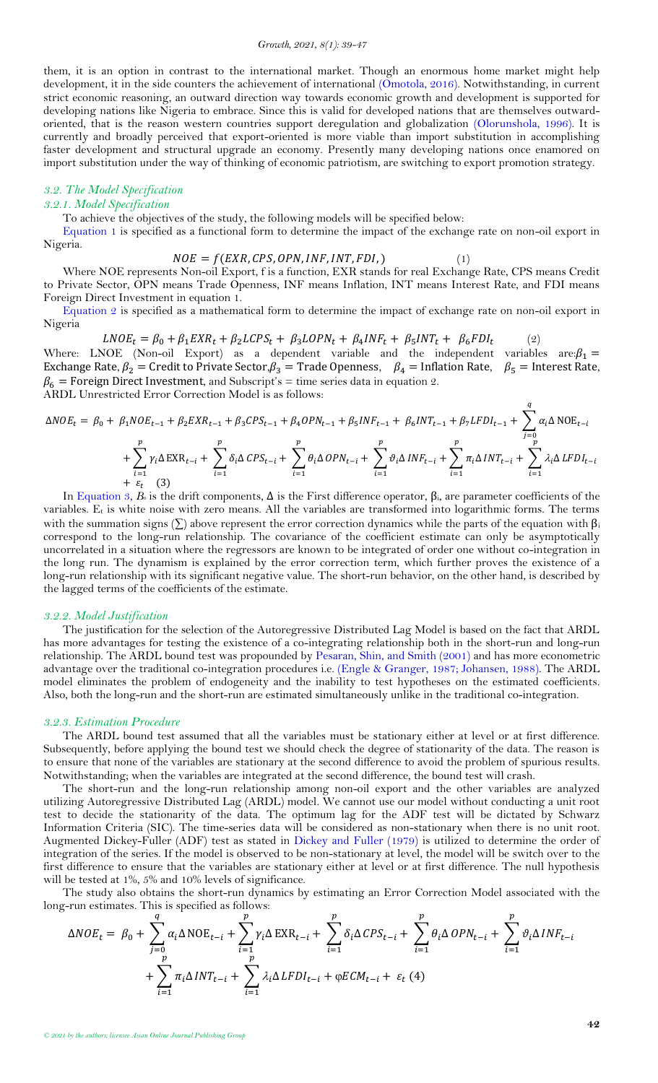them, it is an option in contrast to the international market. Though an enormous home market might help development, it in the side counters the achievement of international [\(Omotola, 2016\)](#page-7-15). Notwithstanding, in current strict economic reasoning, an outward direction way towards economic growth and development is supported for developing nations like Nigeria to embrace. Since this is valid for developed nations that are themselves outwardoriented, that is the reason western countries support deregulation and globalization [\(Olorunshola, 1996\)](#page-7-14). It is currently and broadly perceived that export-oriented is more viable than import substitution in accomplishing faster development and structural upgrade an economy. Presently many developing nations once enamored on import substitution under the way of thinking of economic patriotism, are switching to export promotion strategy.

# *3.2. The Model Specification*

# *3.2.1. Model Specification*

<span id="page-3-0"></span>To achieve the objectives of the study, the following models will be specified below:

[Equation 1](#page-3-0) is specified as a functional form to determine the impact of the exchange rate on non-oil export in Nigeria.

<span id="page-3-2"></span><span id="page-3-1"></span>
$$
NOE = f(EXR, CPS, OPN, INF, INT, FDI, )
$$
\n(1)

Where NOE represents Non-oil Export, f is a function, EXR stands for real Exchange Rate, CPS means Credit to Private Sector, OPN means Trade Openness, INF means Inflation, INT means Interest Rate, and FDI means Foreign Direct Investment in equation 1.

[Equation 2](#page-3-1) is specified as a mathematical form to determine the impact of exchange rate on non-oil export in Nigeria

 $LNOE_t = \beta_0 + \beta_1 EXR_t + \beta_2 LCPS_t + \beta_3 LOPN_t + \beta_4 INF_t + \beta_5 INT_t + \beta_6 FDI_t$  (2) Where: LNOE (Non-oil Export) as a dependent variable and the independent variables are: $\beta_1 =$ Exchange Rate,  $\beta_2$  = Credit to Private Sector,  $\beta_3$  = Trade Openness,  $\beta_4$  = Inflation Rate,  $\beta_5$  = Interest Rate,  $\beta_6$  = Foreign Direct Investment, and Subscript's = time series data in equation 2. ARDL Unrestricted Error Correction Model is as follows:

$$
\Delta NOE_{t} = \beta_{0} + \beta_{1} NOE_{t-1} + \beta_{2} EXP_{t-1} + \beta_{3} CPS_{t-1} + \beta_{4} OPN_{t-1} + \beta_{5} INF_{t-1} + \beta_{6} INT_{t-1} + \beta_{7} LFDI_{t-1} + \sum_{j=0}^{q} \alpha_{i} \Delta NOE_{t-j} + \sum_{i=1}^{p} \gamma_{i} \Delta EXP_{t-i} + \sum_{i=1}^{p} \delta_{i} \Delta CPS_{t-i} + \sum_{i=1}^{p} \theta_{i} \Delta OPN_{t-i} + \sum_{i=1}^{p} \vartheta_{i} \Delta INF_{t-i} + \sum_{i=1}^{p} \pi_{i} \Delta INT_{t-i} + \sum_{i=1}^{p} \lambda_{i} \Delta LFDI_{t-i} + \varepsilon_{t} \tag{3}
$$

In [Equation 3,](#page-3-2)  $B_0$  is the drift components,  $\Delta$  is the First difference operator,  $\beta_i$ , are parameter coefficients of the variables.  $E_t$  is white noise with zero means. All the variables are transformed into logarithmic forms. The terms with the summation signs ( $\Sigma$ ) above represent the error correction dynamics while the parts of the equation with  $\beta_i$ correspond to the long-run relationship. The covariance of the coefficient estimate can only be asymptotically uncorrelated in a situation where the regressors are known to be integrated of order one without co-integration in the long run. The dynamism is explained by the error correction term, which further proves the existence of a long-run relationship with its significant negative value. The short-run behavior, on the other hand, is described by the lagged terms of the coefficients of the estimate.

#### *3.2.2. Model Justification*

The justification for the selection of the Autoregressive Distributed Lag Model is based on the fact that ARDL has more advantages for testing the existence of a co-integrating relationship both in the short-run and long-run relationship. The ARDL bound test was propounded by [Pesaran, Shin, and Smith \(2001\)](#page-7-16) and has more econometric advantage over the traditional co-integration procedures i.e. [\(Engle & Granger, 1987;](#page-7-17) [Johansen, 1988\)](#page-7-18). The ARDL model eliminates the problem of endogeneity and the inability to test hypotheses on the estimated coefficients. Also, both the long-run and the short-run are estimated simultaneously unlike in the traditional co-integration.

#### *3.2.3. Estimation Procedure*

The ARDL bound test assumed that all the variables must be stationary either at level or at first difference. Subsequently, before applying the bound test we should check the degree of stationarity of the data. The reason is to ensure that none of the variables are stationary at the second difference to avoid the problem of spurious results. Notwithstanding; when the variables are integrated at the second difference, the bound test will crash.

The short-run and the long-run relationship among non-oil export and the other variables are analyzed utilizing Autoregressive Distributed Lag (ARDL) model. We cannot use our model without conducting a unit root test to decide the stationarity of the data. The optimum lag for the ADF test will be dictated by Schwarz Information Criteria (SIC). The time-series data will be considered as non-stationary when there is no unit root. Augmented Dickey-Fuller (ADF) test as stated in [Dickey and Fuller \(1979\)](#page-7-19) is utilized to determine the order of integration of the series. If the model is observed to be non-stationary at level, the model will be switch over to the first difference to ensure that the variables are stationary either at level or at first difference. The null hypothesis will be tested at 1%, 5% and 10% levels of significance.

The study also obtains the short-run dynamics by estimating an Error Correction Model associated with the long-run estimates. This is specified as follows:

<span id="page-3-3"></span>
$$
\Delta NOE_t = \beta_0 + \sum_{j=0}^q \alpha_i \Delta NOE_{t-i} + \sum_{i=1}^p \gamma_i \Delta EXP_{t-i} + \sum_{i=1}^p \delta_i \Delta CPS_{t-i} + \sum_{i=1}^p \theta_i \Delta OPN_{t-i} + \sum_{i=1}^p \vartheta_i \Delta INF_{t-i} + \sum_{i=1}^p \pi_i \Delta INT_{t-i} + \sum_{i=1}^p \lambda_i \Delta LFDI_{t-i} + \varphi ECM_{t-i} + \varepsilon_t (4)
$$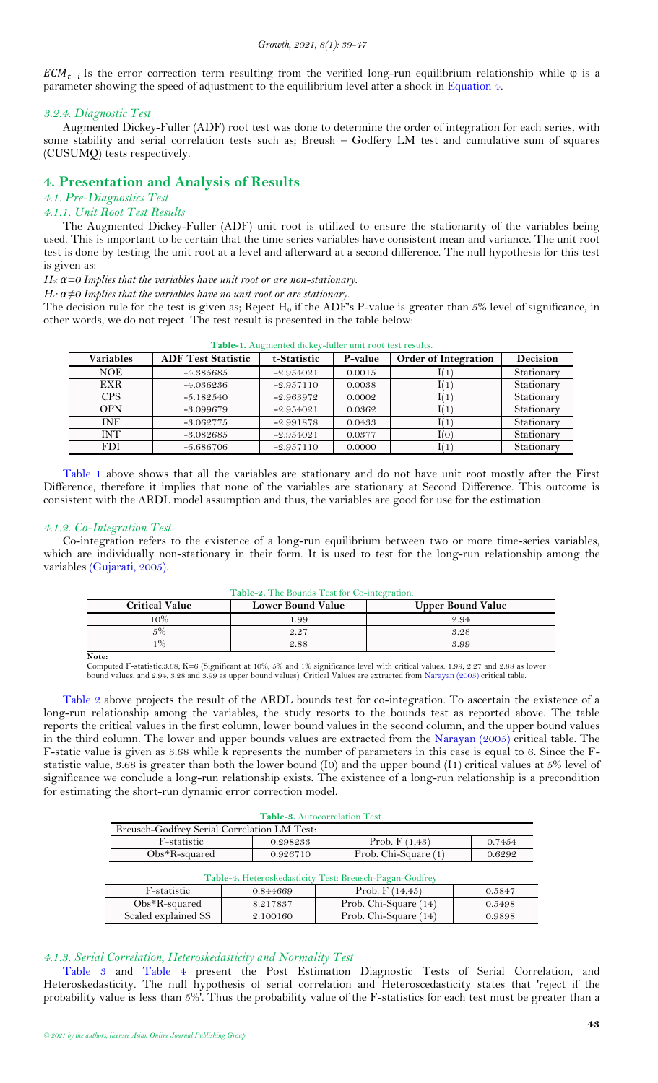#### *Growth, 2021, 8(1): 39-47*

 $ECM_{t-i}$  Is the error correction term resulting from the verified long-run equilibrium relationship while  $\varphi$  is a parameter showing the speed of adjustment to the equilibrium level after a shock in [Equation 4.](#page-3-3)

### *3.2.4. Diagnostic Test*

Augmented Dickey-Fuller (ADF) root test was done to determine the order of integration for each series, with some stability and serial correlation tests such as; Breush – Godfery LM test and cumulative sum of squares (CUSUMQ) tests respectively.

# <span id="page-4-0"></span>**4. Presentation and Analysis of Results**

# *4.1. Pre-Diagnostics Test*

### *4.1.1. Unit Root Test Results*

The Augmented Dickey-Fuller (ADF) unit root is utilized to ensure the stationarity of the variables being used. This is important to be certain that the time series variables have consistent mean and variance. The unit root test is done by testing the unit root at a level and afterward at a second difference. The null hypothesis for this test is given as:

*H0: α=0 Implies that the variables have unit root or are non-stationary.* 

*H:*  $\alpha \neq 0$  Implies that the variables have no unit root or are stationary.

The decision rule for the test is given as; Reject  $H_0$  if the ADF's P-value is greater than 5% level of significance, in other words, we do not reject. The test result is presented in the table below:

<span id="page-4-1"></span>

| <b>AMYAY ACAMEMICATION MIDIO</b><br><u>iailei aille i obe ecoe i coales.</u> |                           |             |         |                             |            |  |
|------------------------------------------------------------------------------|---------------------------|-------------|---------|-----------------------------|------------|--|
| <b>Variables</b>                                                             | <b>ADF Test Statistic</b> | t-Statistic | P-value | <b>Order of Integration</b> | Decision   |  |
| <b>NOE</b>                                                                   | $-4.385685$               | $-2.954021$ | 0.0015  |                             | Stationary |  |
| <b>EXR</b>                                                                   | $-4.036236$               | $-2.957110$ | 0.0038  |                             | Stationary |  |
| <b>CPS</b>                                                                   | $-5.182540$               | $-2.963972$ | 0.0002  |                             | Stationary |  |
| <b>OPN</b>                                                                   | $-3.099679$               | $-2.954021$ | 0.0362  |                             | Stationary |  |
| INF                                                                          | $-3.062775$               | $-2.991878$ | 0.0433  |                             | Stationary |  |
| <b>INT</b>                                                                   | $-3.082685$               | $-2.954021$ | 0.0377  | I(0)                        | Stationary |  |
| FDI                                                                          | $-6.686706$               | $-2.957110$ | 0.0000  |                             | Stationary |  |

**Table-1.** Augmented dickey-fuller unit root test results.

[Table 1](#page-4-1) above shows that all the variables are stationary and do not have unit root mostly after the First Difference, therefore it implies that none of the variables are stationary at Second Difference. This outcome is consistent with the ARDL model assumption and thus, the variables are good for use for the estimation.

# *4.1.2. Co-Integration Test*

Co-integration refers to the existence of a long-run equilibrium between two or more time-series variables, which are individually non-stationary in their form. It is used to test for the long-run relationship among the variables [\(Gujarati, 2005\)](#page-7-20).

<span id="page-4-2"></span>

| <b>Critical Value</b> | <b>Lower Bound Value</b> | <b>Upper Bound Value</b> |
|-----------------------|--------------------------|--------------------------|
| 10%                   | 1.99                     | 2.94                     |
| 5%                    | 2.27                     | 3.28                     |
| 1%                    | 2.88                     | 3.99                     |
| Note:                 |                          |                          |

**Table-2.** The Bounds Test for Co-integration.

Computed F-statistic:3.68; K=6 (Significant at 10%, 5% and 1% significance level with critical values: 1.99, 2.27 and 2.88 as lower bound values, and 2.94, 3.28 and 3.99 as upper bound values). Critical Values are extracted fro[m Narayan \(2005\)](#page-7-21) critical table.

[Table 2](#page-4-2) above projects the result of the ARDL bounds test for co-integration. To ascertain the existence of a long-run relationship among the variables, the study resorts to the bounds test as reported above. The table reports the critical values in the first column, lower bound values in the second column, and the upper bound values in the third column. The lower and upper bounds values are extracted from the [Narayan \(2005\)](#page-7-21) critical table. The F-static value is given as 3.68 while k represents the number of parameters in this case is equal to 6. Since the Fstatistic value, 3.68 is greater than both the lower bound (I0) and the upper bound (I1) critical values at 5% level of significance we conclude a long-run relationship exists. The existence of a long-run relationship is a precondition for estimating the short-run dynamic error correction model.

<span id="page-4-3"></span>

| Table-3. Autocorrelation Test.                                 |          |  |                       |        |  |  |
|----------------------------------------------------------------|----------|--|-----------------------|--------|--|--|
| Breusch-Godfrey Serial Correlation LM Test:                    |          |  |                       |        |  |  |
| F-statistic<br>Prob. $F(1,43)$<br>0.298233<br>0.7454           |          |  |                       |        |  |  |
| Prob. Chi-Square (1)<br>$Obs*R$ -squared<br>0.926710<br>0.6292 |          |  |                       |        |  |  |
| Table-4. Heteroskedasticity Test: Breusch-Pagan-Godfrey.       |          |  |                       |        |  |  |
| F-statistic                                                    | 0.844669 |  | Prob. $F(14,45)$      | 0.5847 |  |  |
| $Obs^*R$ -squared                                              | 8.217837 |  | Prob. Chi-Square (14) | 0.5498 |  |  |
| Scaled explained SS                                            | 2.100160 |  | Prob. Chi-Square (14) | 0.9898 |  |  |

### <span id="page-4-4"></span>*4.1.3. Serial Correlation, Heteroskedasticity and Normality Test*

[Table](#page-4-3) 3 and [Table 4](#page-4-4) present the Post Estimation Diagnostic Tests of Serial Correlation, and Heteroskedasticity. The null hypothesis of serial correlation and Heteroscedasticity states that 'reject if the probability value is less than 5%'. Thus the probability value of the F-statistics for each test must be greater than a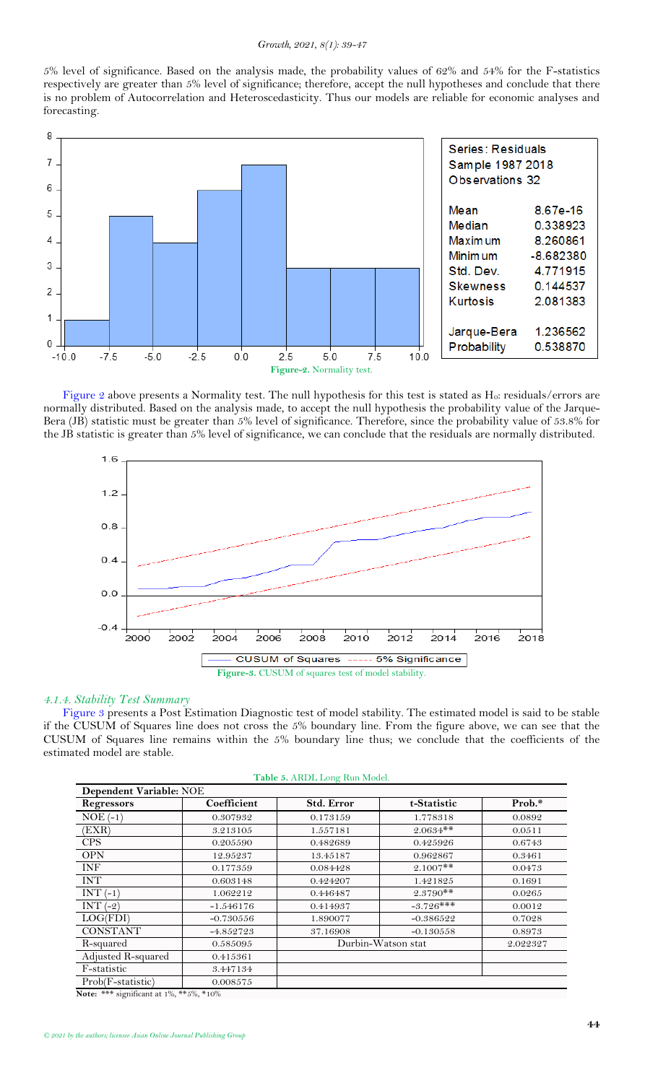5% level of significance. Based on the analysis made, the probability values of 62% and 54% for the F-statistics respectively are greater than 5% level of significance; therefore, accept the null hypotheses and conclude that there is no problem of Autocorrelation and Heteroscedasticity. Thus our models are reliable for economic analyses and forecasting.



<span id="page-5-0"></span>[Figure 2](#page-5-0) above presents a Normality test. The null hypothesis for this test is stated as H<sub>0</sub>: residuals/errors are normally distributed. Based on the analysis made, to accept the null hypothesis the probability value of the Jarque-Bera (JB) statistic must be greater than 5% level of significance. Therefore, since the probability value of 53.8% for the JB statistic is greater than 5% level of significance, we can conclude that the residuals are normally distributed.



### <span id="page-5-1"></span>*4.1.4. Stability Test Summary*

[Figure 3](#page-5-1) presents a Post Estimation Diagnostic test of model stability. The estimated model is said to be stable if the CUSUM of Squares line does not cross the 5% boundary line. From the figure above, we can see that the CUSUM of Squares line remains within the 5% boundary line thus; we conclude that the coefficients of the estimated model are stable.

|  |  | Table 5. ARDL Long Run Model. |
|--|--|-------------------------------|
|  |  |                               |
|  |  |                               |

<span id="page-5-2"></span>

| Dependent Variable: NOE             |             |            |                    |          |  |  |
|-------------------------------------|-------------|------------|--------------------|----------|--|--|
| Regressors                          | Coefficient | Std. Error | t-Statistic        | Prob.*   |  |  |
| $NOE(-1)$                           | 0.307932    | 0.173159   | 1.778318           | 0.0892   |  |  |
| 'EXR)                               | 3.213105    | 1.557181   | $2.0634**$         | 0.0511   |  |  |
| <b>CPS</b>                          | 0.205590    | 0.482689   | 0.425926           | 0.6743   |  |  |
| <b>OPN</b>                          | 12.95237    | 13.45187   | 0.962867           | 0.3461   |  |  |
| INF                                 | 0.177359    | 0.084428   | $2.1007**$         | 0.0473   |  |  |
| <b>INT</b>                          | 0.603148    | 0.424207   | 1.421825           | 0.1691   |  |  |
| $INT(-1)$                           | 1.062212    | 0.446487   | $2.3790**$         | 0.0265   |  |  |
| INT $(-2)$                          | $-1.546176$ | 0.414937   | $-3.726***$        | 0.0012   |  |  |
| LOG(FDI)                            | $-0.730556$ | 1.890077   | $-0.386522$        | 0.7028   |  |  |
| <b>CONSTANT</b>                     | $-4.852723$ | 37.16908   | $-0.130558$        | 0.8973   |  |  |
| R-squared                           | 0.585095    |            | Durbin-Watson stat | 2.022327 |  |  |
| Adjusted R-squared                  | 0.415361    |            |                    |          |  |  |
| F-statistic                         | 3.447134    |            |                    |          |  |  |
| Prob(F-statistic)                   | 0.008575    |            |                    |          |  |  |
| NT → 率率率 * *C* → → o/ 率率 z0/ 率→ o0/ |             |            |                    |          |  |  |

 $significant at 1\%,$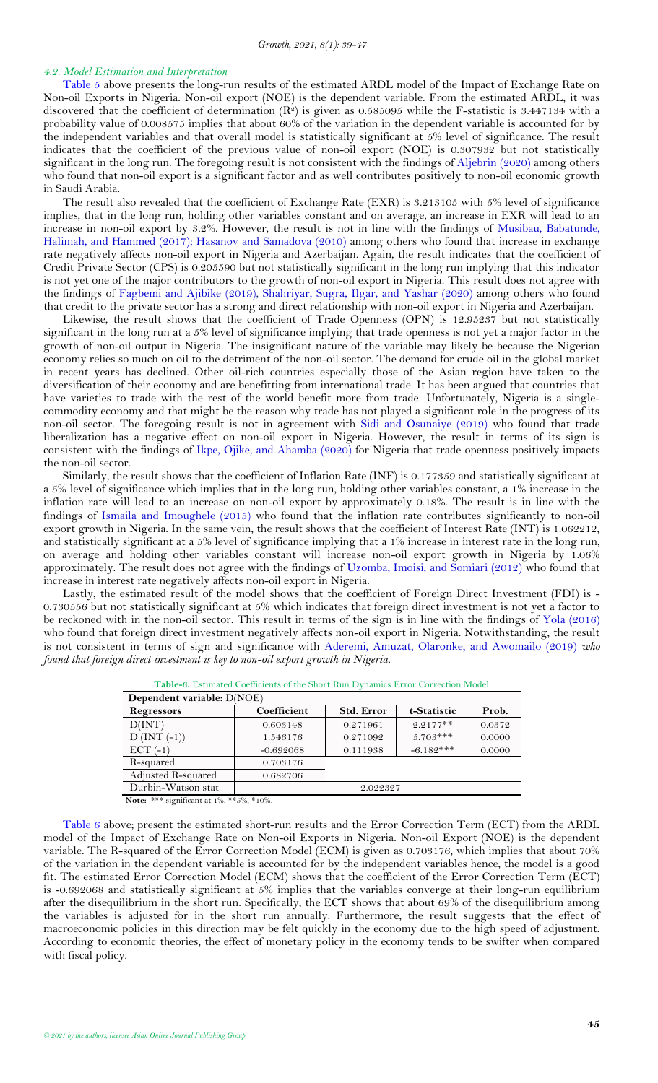### <span id="page-6-0"></span>*4.2. Model Estimation and Interpretation*

[Table 5](#page-5-2) above presents the long-run results of the estimated ARDL model of the Impact of Exchange Rate on Non-oil Exports in Nigeria. Non-oil export (NOE) is the dependent variable. From the estimated ARDL, it was discovered that the coefficient of determination  $(R^2)$  is given as 0.585095 while the F-statistic is 3.447134 with a probability value of 0.008575 implies that about 60% of the variation in the dependent variable is accounted for by the independent variables and that overall model is statistically significant at 5% level of significance. The result indicates that the coefficient of the previous value of non-oil export (NOE) is 0.307932 but not statistically significant in the long run. The foregoing result is not consistent with the findings of [Aljebrin \(2020\)](#page-7-22) among others who found that non-oil export is a significant factor and as well contributes positively to non-oil economic growth in Saudi Arabia.

The result also revealed that the coefficient of Exchange Rate (EXR) is 3.213105 with 5% level of significance implies, that in the long run, holding other variables constant and on average, an increase in EXR will lead to an increase in non-oil export by 3.2%. However, the result is not in line with the findings of [Musibau, Babatunde,](#page-7-23)  [Halimah, and Hammed \(2017\)](#page-7-23); [Hasanov and Samadova \(2010\)](#page-7-24) among others who found that increase in exchange rate negatively affects non-oil export in Nigeria and Azerbaijan. Again, the result indicates that the coefficient of Credit Private Sector (CPS) is 0.205590 but not statistically significant in the long run implying that this indicator is not yet one of the major contributors to the growth of non-oil export in Nigeria. This result does not agree with the findings of [Fagbemi and Ajibike \(2019\)](#page-7-25), [Shahriyar, Sugra, Ilgar, and Yashar \(2020\)](#page-7-26) among others who found that credit to the private sector has a strong and direct relationship with non-oil export in Nigeria and Azerbaijan.

Likewise, the result shows that the coefficient of Trade Openness (OPN) is 12.95237 but not statistically significant in the long run at a 5% level of significance implying that trade openness is not yet a major factor in the growth of non-oil output in Nigeria. The insignificant nature of the variable may likely be because the Nigerian economy relies so much on oil to the detriment of the non-oil sector. The demand for crude oil in the global market in recent years has declined. Other oil-rich countries especially those of the Asian region have taken to the diversification of their economy and are benefitting from international trade. It has been argued that countries that have varieties to trade with the rest of the world benefit more from trade. Unfortunately, Nigeria is a singlecommodity economy and that might be the reason why trade has not played a significant role in the progress of its non-oil sector. The foregoing result is not in agreement with [Sidi and Osunaiye \(2019\)](#page-8-3) who found that trade liberalization has a negative effect on non-oil export in Nigeria. However, the result in terms of its sign is consistent with the findings of [Ikpe, Ojike, and Ahamba \(2020\)](#page-7-27) for Nigeria that trade openness positively impacts the non-oil sector.

Similarly, the result shows that the coefficient of Inflation Rate (INF) is 0.177359 and statistically significant at a 5% level of significance which implies that in the long run, holding other variables constant, a 1% increase in the inflation rate will lead to an increase on non-oil export by approximately 0.18%. The result is in line with the findings of [Ismaila and Imoughele \(2015\)](#page-7-28) who found that the inflation rate contributes significantly to non-oil export growth in Nigeria. In the same vein, the result shows that the coefficient of Interest Rate (INT) is 1.062212, and statistically significant at a 5% level of significance implying that a 1% increase in interest rate in the long run, on average and holding other variables constant will increase non-oil export growth in Nigeria by 1.06% approximately. The result does not agree with the findings of [Uzomba, Imoisi, and Somiari \(2012\)](#page-8-4) who found that increase in interest rate negatively affects non-oil export in Nigeria.

Lastly, the estimated result of the model shows that the coefficient of Foreign Direct Investment (FDI) is - 0.730556 but not statistically significant at 5% which indicates that foreign direct investment is not yet a factor to be reckoned with in the non-oil sector. This result in terms of the sign is in line with the findings of [Yola \(2016\)](#page-8-5) who found that foreign direct investment negatively affects non-oil export in Nigeria. Notwithstanding, the result is not consistent in terms of sign and significance with [Aderemi, Amuzat, Olaronke, and Awomailo \(2019\)](#page-7-29) *who found that foreign direct investment is key to non-oil export growth in Nigeria.*

<span id="page-6-1"></span>

| Dependent variable: D(NOE)                          |             |                   |             |        |  |  |
|-----------------------------------------------------|-------------|-------------------|-------------|--------|--|--|
| Regressors                                          | Coefficient | <b>Std. Error</b> | t-Statistic | Prob.  |  |  |
| D(INT)                                              | 0.603148    | 0.271961          | $2.2177**$  | 0.0372 |  |  |
| $D$ (INT $(-1)$ )                                   | 1.546176    | 0.271092          | $5.703***$  | 0.0000 |  |  |
| $ECT (-1)$                                          | $-0.692068$ | 0.111938          | $-6.182***$ | 0.0000 |  |  |
| R-squared                                           | 0.703176    |                   |             |        |  |  |
| Adjusted R-squared                                  | 0.682706    |                   |             |        |  |  |
| Durbin-Watson stat                                  | 2.022327    |                   |             |        |  |  |
| <b>Note:</b> *** significant at $1\%$ , **5%, *10%. |             |                   |             |        |  |  |

**Table-6.** Estimated Coefficients of the Short Run Dynamics Error Correction Model

[Table 6](#page-6-1) above; present the estimated short-run results and the Error Correction Term (ECT) from the ARDL model of the Impact of Exchange Rate on Non-oil Exports in Nigeria. Non-oil Export (NOE) is the dependent variable. The R-squared of the Error Correction Model (ECM) is given as 0.703176, which implies that about 70% of the variation in the dependent variable is accounted for by the independent variables hence, the model is a good fit. The estimated Error Correction Model (ECM) shows that the coefficient of the Error Correction Term (ECT) is -0.692068 and statistically significant at 5% implies that the variables converge at their long-run equilibrium after the disequilibrium in the short run. Specifically, the ECT shows that about 69% of the disequilibrium among the variables is adjusted for in the short run annually. Furthermore, the result suggests that the effect of macroeconomic policies in this direction may be felt quickly in the economy due to the high speed of adjustment. According to economic theories, the effect of monetary policy in the economy tends to be swifter when compared with fiscal policy.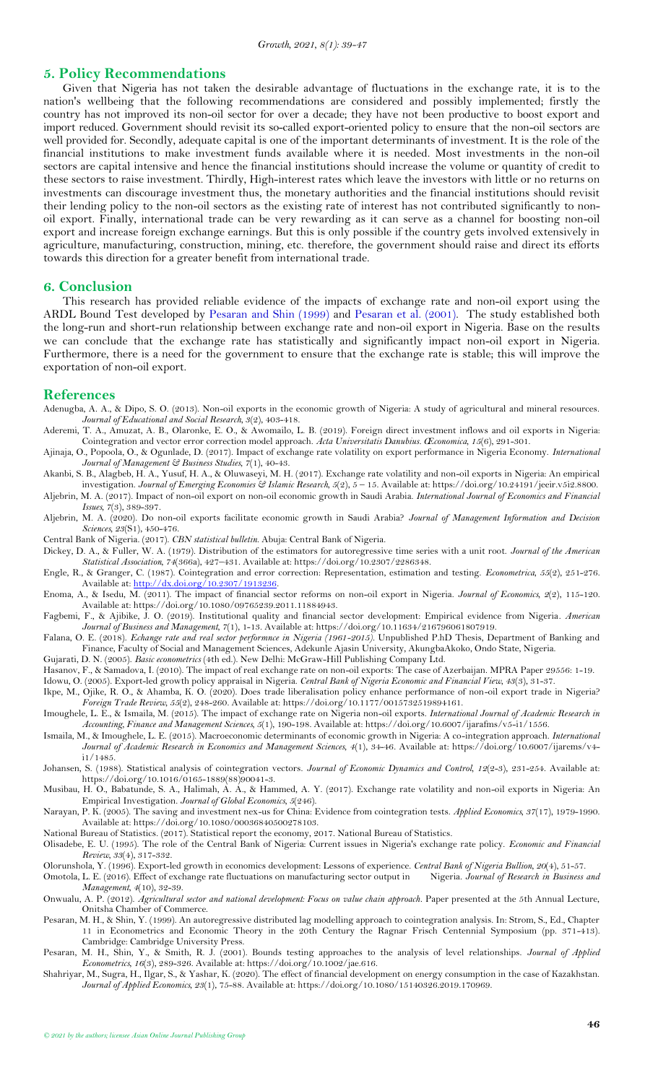### **5. Policy Recommendations**

Given that Nigeria has not taken the desirable advantage of fluctuations in the exchange rate, it is to the nation's wellbeing that the following recommendations are considered and possibly implemented; firstly the country has not improved its non-oil sector for over a decade; they have not been productive to boost export and import reduced. Government should revisit its so-called export-oriented policy to ensure that the non-oil sectors are well provided for. Secondly, adequate capital is one of the important determinants of investment. It is the role of the financial institutions to make investment funds available where it is needed. Most investments in the non-oil sectors are capital intensive and hence the financial institutions should increase the volume or quantity of credit to these sectors to raise investment. Thirdly, High-interest rates which leave the investors with little or no returns on investments can discourage investment thus, the monetary authorities and the financial institutions should revisit their lending policy to the non-oil sectors as the existing rate of interest has not contributed significantly to nonoil export. Finally, international trade can be very rewarding as it can serve as a channel for boosting non-oil export and increase foreign exchange earnings. But this is only possible if the country gets involved extensively in agriculture, manufacturing, construction, mining, etc. therefore, the government should raise and direct its efforts towards this direction for a greater benefit from international trade.

## <span id="page-7-0"></span>**6. Conclusion**

This research has provided reliable evidence of the impacts of exchange rate and non-oil export using the ARDL Bound Test developed by [Pesaran and Shin \(1999\)](#page-7-30) and [Pesaran et al. \(2001\)](#page-7-16). The study established both the long-run and short-run relationship between exchange rate and non-oil export in Nigeria. Base on the results we can conclude that the exchange rate has statistically and significantly impact non-oil export in Nigeria. Furthermore, there is a need for the government to ensure that the exchange rate is stable; this will improve the exportation of non-oil export.

### <span id="page-7-1"></span>**References**

- <span id="page-7-9"></span>Adenugba, A. A., & Dipo, S. O. (2013). Non-oil exports in the economic growth of Nigeria: A study of agricultural and mineral resources. *Journal of Educational and Social Research, 3*(2), 403-418.
- <span id="page-7-29"></span>Aderemi, T. A., Amuzat, A. B., Olaronke, E. O., & Awomailo, L. B. (2019). Foreign direct investment inflows and oil exports in Nigeria: Cointegration and vector error correction model approach. *Acta Universitatis Danubius. Œconomica, 15*(6), 291-301.
- <span id="page-7-10"></span>Ajinaja, O., Popoola, O., & Ogunlade, D. (2017). Impact of exchange rate volatility on export performance in Nigeria Economy. *International Journal of Management & Business Studies, 7*(1), 40-43.
- <span id="page-7-11"></span>Akanbi, S. B., Alagbeb, H. A., Yusuf, H. A., & Oluwaseyi, M. H. (2017). Exchange rate volatility and non-oil exports in Nigeria: An empirical investigation. *Journal of Emerging Economies & Islamic Research, 5*(2), 5 – 15. Available at: https://doi.org/10.24191/jeeir.v5i2.8800. Aljebrin, M. A. (2017). Impact of non-oil export on non-oil economic growth in Saudi Arabia. *International Journal of Economics and Financial*
- <span id="page-7-22"></span><span id="page-7-8"></span>*Issues, 7*(3), 389-397. Aljebrin, M. A. (2020). Do non-oil exports facilitate economic growth in Saudi Arabia? *Journal of Management Information and Decision Sciences, 23*(S1), 450-476.
- <span id="page-7-5"></span>Central Bank of Nigeria. (2017). *CBN statistical bulletin*. Abuja: Central Bank of Nigeria.
- <span id="page-7-19"></span>Dickey, D. A., & Fuller, W. A. (1979). Distribution of the estimators for autoregressive time series with a unit root. *Journal of the American Statistical Association, 74*(366a), 427–431. Available at: https://doi.org/10.2307/2286348.
- <span id="page-7-17"></span>Engle, R., & Granger, C. (1987). Cointegration and error correction: Representation, estimation and testing. *Econometrica, 55*(2), 251-276. Available at: [http://dx.doi.org/10.2307/1913236.](http://dx.doi.org/10.2307/1913236)
- <span id="page-7-4"></span>Enoma, A., & Isedu, M. (2011). The impact of financial sector reforms on non-oil export in Nigeria. *Journal of Economics, 2*(2), 115-120. Available at: https://doi.org/10.1080/09765239.2011.11884943.

<span id="page-7-25"></span>Fagbemi, F., & Ajibike, J. O. (2019). Institutional quality and financial sector development: Empirical evidence from Nigeria. *American Journal of Business and Management, 7*(1), 1-13. Available at: https://doi.org/10.11634/216796061807919.

- <span id="page-7-12"></span>Falana, O. E. (2018). *Echange rate and real sector performnce in Nigeria (1961-2015).* Unpublished P.hD Thesis, Department of Banking and Finance, Faculty of Social and Management Sciences, Adekunle Ajasin University, AkungbaAkoko, Ondo State, Nigeria.
- <span id="page-7-20"></span>Gujarati, D. N. (2005). *Basic econometrics* (4th ed.). New Delhi: McGraw-Hill Publishing Company Ltd.
- <span id="page-7-24"></span>Hasanov, F., & Samadova, I. (2010). The impact of real exchange rate on non-oil exports: The case of Azerbaijan. MPRA Paper 29556: 1-19.

<span id="page-7-13"></span>Idowu, O. (2005). Export-led growth policy appraisal in Nigeria. *Central Bank of Nigeria Economic and Financial View, 43*(3), 31-37.

- <span id="page-7-27"></span>Ikpe, M., Ojike, R. O., & Ahamba, K. O. (2020). Does trade liberalisation policy enhance performance of non-oil export trade in Nigeria? *Foreign Trade Review, 55*(2), 248-260. Available at: https://doi.org/10.1177/0015732519894161.
- <span id="page-7-2"></span>Imoughele, L. E., & Ismaila, M. (2015). The impact of exchange rate on Nigeria non-oil exports. *International Journal of Academic Research in Accounting, Finance and Management Sciences, 5*(1), 190-198. Available at: https://doi.org/10.6007/ijarafms/v5-i1/1556.
- <span id="page-7-28"></span>Ismaila, M., & Imoughele, L. E. (2015). Macroeconomic determinants of economic growth in Nigeria: A co-integration approach. *International Journal of Academic Research in Economics and Management Sciences, 4*(1), 34-46. Available at: https://doi.org/10.6007/ijarems/v4 i1/1485.
- <span id="page-7-18"></span>Johansen, S. (1988). Statistical analysis of cointegration vectors. *Journal of Economic Dynamics and Control, 12*(2-3), 231-254. Available at: https://doi.org/10.1016/0165-1889(88)90041-3.
- <span id="page-7-23"></span>Musibau, H. O., Babatunde, S. A., Halimah, A. A., & Hammed, A. Y. (2017). Exchange rate volatility and non-oil exports in Nigeria: An Empirical Investigation. *Journal of Global Economics, 5*(246).
- <span id="page-7-21"></span>Narayan, P. K. (2005). The saving and investment nex-us for China: Evidence from cointegration tests. *Applied Economics, 37*(17), 1979-1990. Available at: https://doi.org/10.1080/00036840500278103.
- <span id="page-7-3"></span>National Bureau of Statistics. (2017). Statistical report the economy, 2017. National Bureau of Statistics.
- <span id="page-7-7"></span>Olisadebe, E. U. (1995). The role of the Central Bank of Nigeria: Current issues in Nigeria's exchange rate policy. *Economic and Financial Review, 33*(4), 317-332.
- <span id="page-7-14"></span>Olorunshola, Y. (1996). Export-led growth in economics development: Lessons of experience. *Central Bank of Nigeria Bullion, 20*(4), 51-57.
- <span id="page-7-15"></span>Omotola, L. E. (2016). Effect of exchange rate fluctuations on manufacturing sector output in *Management, 4*(10), 32-39.
- <span id="page-7-6"></span>Onwualu, A. P. (2012). *Agricultural sector and national development: Focus on value chain approach*. Paper presented at the 5th Annual Lecture, Onitsha Chamber of Commerce.
- <span id="page-7-30"></span>Pesaran, M. H., & Shin, Y. (1999). An autoregressive distributed lag modelling approach to cointegration analysis. In: Strom, S., Ed., Chapter 11 in Econometrics and Economic Theory in the 20th Century the Ragnar Frisch Centennial Symposium (pp. 371-413). Cambridge: Cambridge University Press.
- <span id="page-7-16"></span>Pesaran, M. H., Shin, Y., & Smith, R. J. (2001). Bounds testing approaches to the analysis of level relationships. *Journal of Applied Econometrics, 16*(3), 289-326. Available at: https://doi.org/10.1002/jae.616.
- <span id="page-7-26"></span>Shahriyar, M., Sugra, H., Ilgar, S., & Yashar, K. (2020). The effect of financial development on energy consumption in the case of Kazakhstan. *Journal of Applied Economics, 23*(1), 75-88. Available at: https://doi.org/10.1080/15140326.2019.170969.